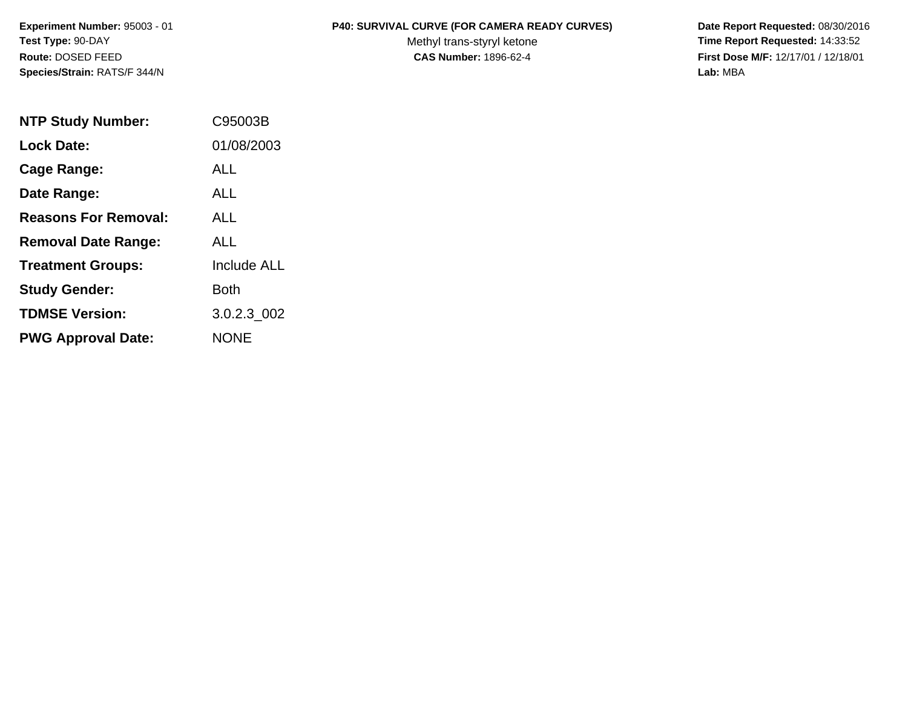**Species/Strain:** RATS/F 344/N **Lab:** MBA

## **Experiment Number:** 95003 - 01 **P40: SURVIVAL CURVE (FOR CAMERA READY CURVES) Date Report Requested:** 08/30/2016

Test Type: 90-DAY **The Report Requested: 14:33:52** Methyl trans-styryl ketone **Time Report Requested: 14:33:52 Route:** DOSED FEED **CAS Number:** 1896-62-4 **First Dose M/F:** 12/17/01 / 12/18/01

| <b>NTP Study Number:</b>    | C95003B            |
|-----------------------------|--------------------|
| <b>Lock Date:</b>           | 01/08/2003         |
| Cage Range:                 | ALL                |
| Date Range:                 | <b>ALL</b>         |
| <b>Reasons For Removal:</b> | <b>ALL</b>         |
| <b>Removal Date Range:</b>  | ALL                |
| <b>Treatment Groups:</b>    | <b>Include ALL</b> |
| <b>Study Gender:</b>        | Both               |
| <b>TDMSE Version:</b>       | 3.0.2.3 002        |
| <b>PWG Approval Date:</b>   | <b>NONE</b>        |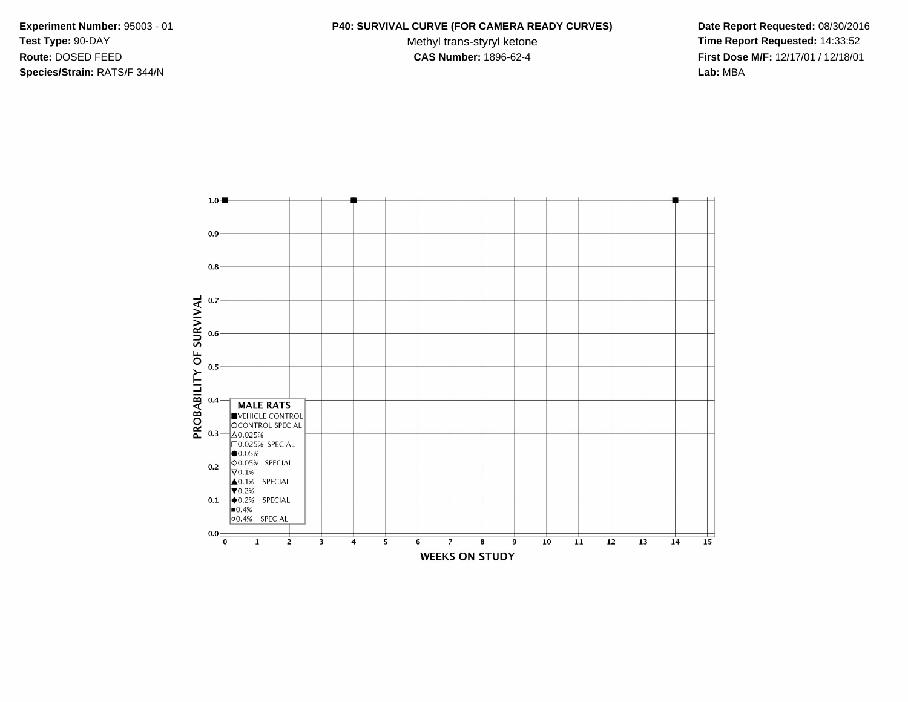**Species/Strain:** RATS/F 344/N **Lab:** MBA

## **Experiment Number:** 95003 - 01 **P40: SURVIVAL CURVE (FOR CAMERA READY CURVES) Date Report Requested:** 08/30/2016

Test Type: 90-DAY **The Report Requested: 14:33:52** Methyl trans-styryl ketone **Time Report Requested: 14:33:52 Route:** DOSED FEED **CAS Number:** 1896-62-4 **First Dose M/F:** 12/17/01 / 12/18/01